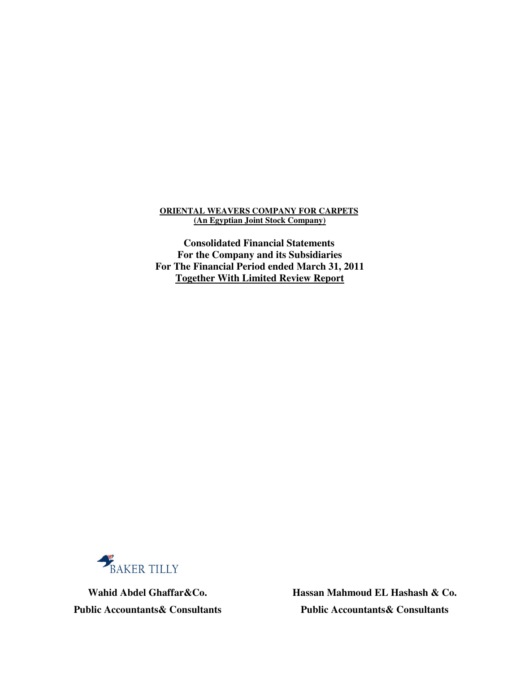# **ORIENTAL WEAVERS COMPANY FOR CARPETS (An Egyptian Joint Stock Company)**

**Consolidated Financial Statements For the Company and its Subsidiaries For The Financial Period ended March 31, 2011 Together With Limited Review Report**



 **Hassan Mahmoud EL Hashash & Co. Wahid Abdel Ghaffar&Co. Public Accountants& Consultants Public Accountants& Consultants**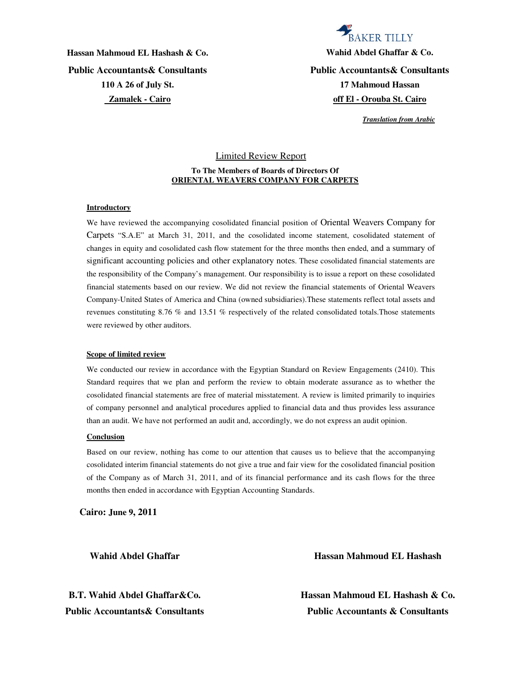**Public Accountants& Consultants Public Accountants& Consultants 110 A 26 of July St. Zamalek - Cairo**

# **BAKER TILLY Hassan Mahmoud EL Hashash & Co. Wahid Abdel Ghaffar & Co. 17 Mahmoud Hassan**

**off El - Orouba St. Cairo**

 *Translation from Arabic*

# Limited Review Report **To The Members of Boards of Directors Of ORIENTAL WEAVERS COMPANY FOR CARPETS**

## **Introductory**

We have reviewed the accompanying cosolidated financial position of Oriental Weavers Company for Carpets "S.A.E" at March 31, 2011, and the cosolidated income statement, cosolidated statement of changes in equity and cosolidated cash flow statement for the three months then ended, and a summary of significant accounting policies and other explanatory notes. These cosolidated financial statements are the responsibility of the Company's management. Our responsibility is to issue a report on these cosolidated financial statements based on our review. We did not review the financial statements of Oriental Weavers Company-United States of America and China (owned subsidiaries).These statements reflect total assets and revenues constituting 8.76 % and 13.51 % respectively of the related consolidated totals.Those statements were reviewed by other auditors.

## **Scope of limited review**

We conducted our review in accordance with the Egyptian Standard on Review Engagements (2410). This Standard requires that we plan and perform the review to obtain moderate assurance as to whether the cosolidated financial statements are free of material misstatement. A review is limited primarily to inquiries of company personnel and analytical procedures applied to financial data and thus provides less assurance than an audit. We have not performed an audit and, accordingly, we do not express an audit opinion.

## **Conclusion**

Based on our review, nothing has come to our attention that causes us to believe that the accompanying cosolidated interim financial statements do not give a true and fair view for the cosolidated financial position of the Company as of March 31, 2011, and of its financial performance and its cash flows for the three months then ended in accordance with Egyptian Accounting Standards.

**Cairo: June 9, 2011** 

**Wahid Abdel Ghaffar Hassan Mahmoud EL Hashash**

**B.T. Wahid Abdel Ghaffar&Co. Hassan Mahmoud EL Hashash & Co. Public Accountants& Consultants Public Accountants & Consultants**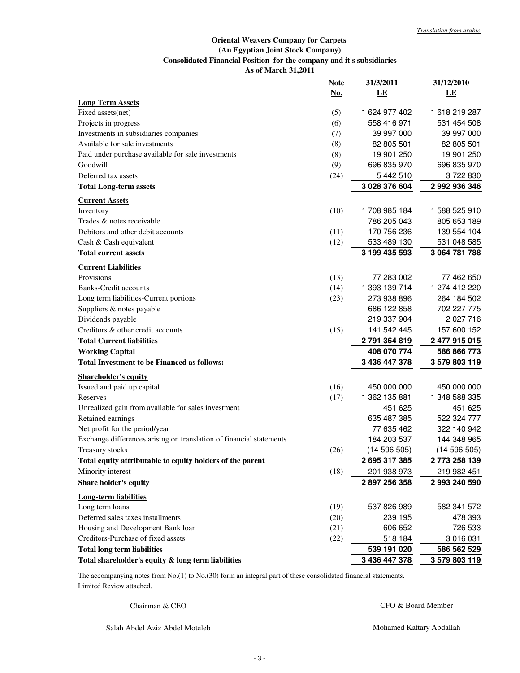## **Oriental Weavers Company for Carpets (An Egyptian Joint Stock Company) As of March 31,2011 Consolidated Financial Position for the company and it's subsidiaries**

|                                                                     | <b>Note</b> | 31/3/2011     | 31/12/2010    |
|---------------------------------------------------------------------|-------------|---------------|---------------|
|                                                                     | <u>No.</u>  | LE            | LE            |
| <b>Long Term Assets</b>                                             |             |               |               |
| Fixed assets(net)                                                   | (5)         | 1 624 977 402 | 1618219287    |
| Projects in progress                                                | (6)         | 558 416 971   | 531 454 508   |
| Investments in subsidiaries companies                               | (7)         | 39 997 000    | 39 997 000    |
| Available for sale investments                                      | (8)         | 82 805 501    | 82 805 501    |
| Paid under purchase available for sale investments                  | (8)         | 19 901 250    | 19 901 250    |
| Goodwill                                                            | (9)         | 696 835 970   | 696 835 970   |
| Deferred tax assets                                                 | (24)        | 5 442 510     | 3722830       |
| <b>Total Long-term assets</b>                                       |             | 3 028 376 604 | 2 992 936 346 |
| <b>Current Assets</b>                                               |             |               |               |
| Inventory                                                           | (10)        | 1708 985 184  | 1 588 525 910 |
| Trades & notes receivable                                           |             | 786 205 043   | 805 653 189   |
| Debitors and other debit accounts                                   | (11)        | 170 756 236   | 139 554 104   |
| Cash & Cash equivalent                                              | (12)        | 533 489 130   | 531 048 585   |
| <b>Total current assets</b>                                         |             | 3 199 435 593 | 3 064 781 788 |
| <b>Current Liabilities</b>                                          |             |               |               |
| Provisions                                                          | (13)        | 77 283 002    | 77 462 650    |
| <b>Banks-Credit accounts</b>                                        | (14)        | 1 393 139 714 | 1 274 412 220 |
| Long term liabilities-Current portions                              | (23)        | 273 938 896   | 264 184 502   |
| Suppliers & notes payable                                           |             | 686 122 858   | 702 227 775   |
| Dividends payable                                                   |             | 219 337 904   | 2 027 716     |
| Creditors & other credit accounts                                   | (15)        | 141 542 445   | 157 600 152   |
| <b>Total Current liabilities</b>                                    |             | 2791364819    | 2 477 915 015 |
| <b>Working Capital</b>                                              |             | 408 070 774   | 586 866 773   |
| <b>Total Investment to be Financed as follows:</b>                  |             | 3 436 447 378 | 3 579 803 119 |
| <b>Shareholder's equity</b>                                         |             |               |               |
| Issued and paid up capital                                          | (16)        | 450 000 000   | 450 000 000   |
| Reserves                                                            | (17)        | 1 362 135 881 | 1 348 588 335 |
| Unrealized gain from available for sales investment                 |             | 451 625       | 451 625       |
| Retained earnings                                                   |             | 635 487 385   | 522 324 777   |
| Net profit for the period/year                                      |             | 77 635 462    | 322 140 942   |
| Exchange differences arising on translation of financial statements |             | 184 203 537   | 144 348 965   |
| <b>Treasury stocks</b>                                              | (26)        | (14596505)    | (14596505)    |
| Total equity attributable to equity holders of the parent           |             | 2695317385    | 2773 258 139  |
| Minority interest                                                   | (18)        | 201 938 973   | 219 982 451   |
| <b>Share holder's equity</b>                                        |             | 2 897 256 358 | 2 993 240 590 |
| <b>Long-term liabilities</b>                                        |             |               |               |
| Long term loans                                                     | (19)        | 537 826 989   | 582 341 572   |
| Deferred sales taxes installments                                   | (20)        | 239 195       | 478 393       |
| Housing and Development Bank loan                                   | (21)        | 606 652       | 726 533       |
| Creditors-Purchase of fixed assets                                  | (22)        | 518 184       | 3 016 031     |
| <b>Total long term liabilities</b>                                  |             | 539 191 020   | 586 562 529   |
| Total shareholder's equity & long term liabilities                  |             | 3 436 447 378 | 3 579 803 119 |
|                                                                     |             |               |               |

Limited Review attached. The accompanying notes from No.(1) to No.(30) form an integral part of these consolidated financial statements.

Chairman & CEO

CFO & Board Member

Salah Abdel Aziz Abdel Moteleb

Mohamed Kattary Abdallah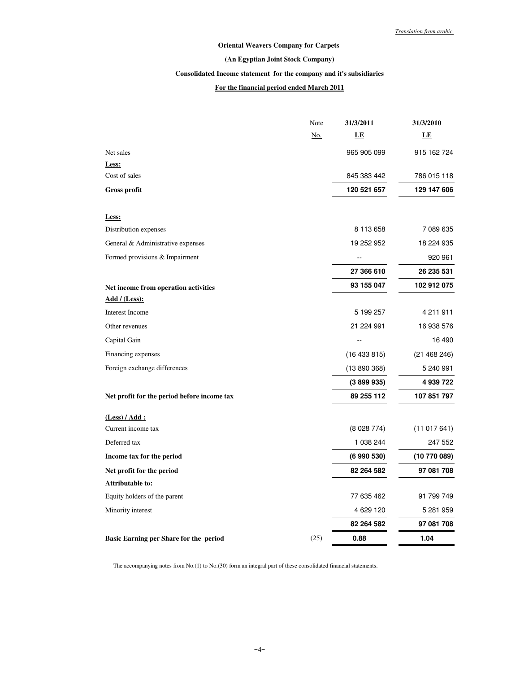# **Oriental Weavers Company for Carpets**

## **(An Egyptian Joint Stock Company)**

## **Consolidated Income statement for the company and it's subsidiaries**

# **For the financial period ended March 2011**

|                                             | Note | 31/3/2011   | 31/3/2010    |
|---------------------------------------------|------|-------------|--------------|
|                                             | No.  | LE          | LE           |
| Net sales                                   |      | 965 905 099 | 915 162 724  |
| Less:                                       |      |             |              |
| Cost of sales                               |      | 845 383 442 | 786 015 118  |
| <b>Gross profit</b>                         |      | 120 521 657 | 129 147 606  |
| Less:                                       |      |             |              |
| Distribution expenses                       |      | 8 113 658   | 7 089 635    |
| General & Administrative expenses           |      | 19 252 952  | 18 224 935   |
| Formed provisions & Impairment              |      |             | 920 961      |
|                                             |      | 27 366 610  | 26 235 531   |
| Net income from operation activities        |      | 93 155 047  | 102 912 075  |
| <u>Add / (Less):</u>                        |      |             |              |
| Interest Income                             |      | 5 199 257   | 4 211 911    |
| Other revenues                              |      | 21 224 991  | 16 938 576   |
| Capital Gain                                |      | Ξ.          | 16 490       |
| Financing expenses                          |      | (16433815)  | (21468246)   |
| Foreign exchange differences                |      | (13890368)  | 5 240 991    |
|                                             |      | (3899935)   | 4 939 722    |
| Net profit for the period before income tax |      | 89 255 112  | 107 851 797  |
| (Less) / Add:                               |      |             |              |
| Current income tax                          |      | (8028774)   | (11017641)   |
| Deferred tax                                |      | 1 038 244   | 247 552      |
| Income tax for the period                   |      | (6990530)   | (10 770 089) |
| Net profit for the period                   |      | 82 264 582  | 97 081 708   |
| <u>Attributable to:</u>                     |      |             |              |
| Equity holders of the parent                |      | 77 635 462  | 91 799 749   |
| Minority interest                           |      | 4 629 120   | 5 281 959    |
|                                             |      | 82 264 582  | 97 081 708   |
| Basic Earning per Share for the period      | (25) | 0.88        | 1.04         |

The accompanying notes from No.(1) to No.(30) form an integral part of these consolidated financial statements.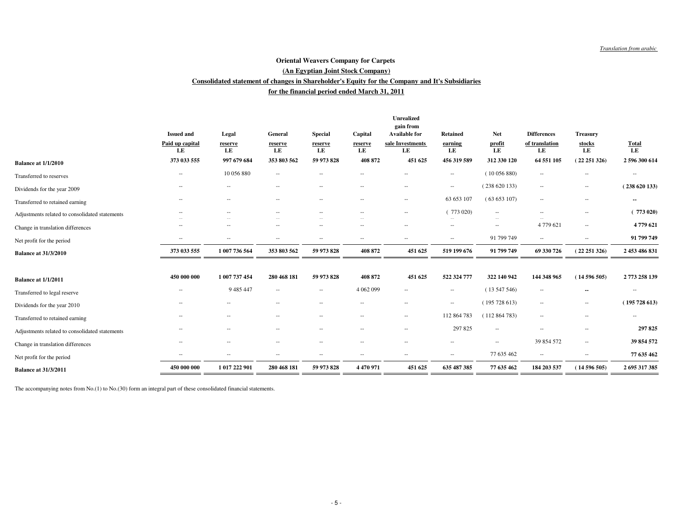## **for the financial period ended March 31, 2011Consolidated statement of changes in Shareholder's Equity for the Company and It's Subsidiaries (An Egyptian Joint Stock Company)Oriental Weavers Company for Carpets**

|                                                | <b>Issued and</b><br>Paid up capital<br>LE | Legal<br>reserve<br>LE   | General<br>reserve<br>LE | <b>Special</b><br>reserve<br>LE | Capital<br>reserve<br>LE | <b>Unrealized</b><br>gain from<br><b>Available for</b><br>sale Investments<br>LE | <b>Retained</b><br>earning<br>LE | <b>Net</b><br>profit<br>LE | <b>Differences</b><br>of translation<br>LE | <b>Treasury</b><br>stocks<br>LE | $\frac{\text{Total}}{\text{LE}}$ |
|------------------------------------------------|--------------------------------------------|--------------------------|--------------------------|---------------------------------|--------------------------|----------------------------------------------------------------------------------|----------------------------------|----------------------------|--------------------------------------------|---------------------------------|----------------------------------|
| <b>Balance at 1/1/2010</b>                     | 373 033 555                                | 997 679 684              | 353 803 562              | 59 973 828                      | 408 872                  | 451 625                                                                          | 456 319 589                      | 312 330 120                | 64 551 105                                 | (22251326)                      | 2 596 300 614                    |
| Transferred to reserves                        | $\hspace{0.05cm} -$                        | 10 056 880               | $\sim$                   | $\overline{\phantom{a}}$        | $\sim$                   | $\overline{a}$                                                                   | $\sim$                           | (10056880)                 | $\hspace{0.05cm} -$                        | $\hspace{0.05cm} -$             | $\overline{a}$                   |
| Dividends for the year 2009                    | $\overline{\phantom{a}}$                   | $-$                      | $\sim$                   | $\sim$                          | $\sim$                   | $\qquad \qquad -$                                                                | $\sim$                           | (238620133)                | $\hspace{0.05cm} -$                        | $\overline{\phantom{a}}$        | (238620133)                      |
| Transferred to retained earning                | $\sim$                                     | $\sim$                   | $\sim$                   | $\overline{\phantom{a}}$        | $\sim$                   | $\qquad \qquad -$                                                                | 63 653 107                       | (63653107)                 | $\hspace{0.05cm} -$                        | $\sim$                          | --                               |
| Adjustments related to consolidated statements | $\sim$                                     | $\overline{\phantom{a}}$ | $\sim$                   | $\overline{\phantom{a}}$        | $\sim$                   | ۰.                                                                               | 773 020)                         | $\overline{\phantom{a}}$   | $\overline{\phantom{a}}$                   | $\sim$                          | 773020                           |
| Change in translation differences              | $\sim$                                     | $\overline{\phantom{a}}$ | $\sim$                   | $\overline{\phantom{a}}$        | $\sim$                   | $\overline{a}$                                                                   | $\hspace{0.05cm} -$              | $\overline{\phantom{a}}$   | 4 779 621                                  | $\hspace{0.05cm} -$             | 4779621                          |
| Net profit for the period                      | $\overline{\phantom{a}}$                   | $\sim$                   | $\sim$                   | $\sim$                          | $\sim$                   | $\qquad \qquad -$                                                                | $\overline{\phantom{a}}$         | 91 799 749                 | $\sim$                                     | $\hspace{0.05cm} -$             | 91 799 749                       |
| <b>Balance at 31/3/2010</b>                    | 373 033 555                                | 1 007 736 564            | 353 803 562              | 59 973 828                      | 408 872                  | 451 625                                                                          | 519 199 676                      | 91 799 749                 | 69 330 726                                 | (22251326)                      | 2 453 486 831                    |
| <b>Balance at 1/1/2011</b>                     | 450 000 000                                | 1 007 737 454            | 280 468 181              | 59 973 828                      | 408 872                  | 451 625                                                                          | 522 324 777                      | 322 140 942                | 144 348 965                                | (14596505)                      | 2773 258 139                     |
| Transferred to legal reserve                   | $\sim$                                     | 9 4 8 5 4 4 7            | $\sim$                   | $\sim$                          | 4 0 6 2 0 9 9            |                                                                                  | $\sim$                           | (13547546)                 | $\hspace{0.05cm} -$                        | $\sim$                          | $\overline{\phantom{a}}$         |
| Dividends for the year 2010                    |                                            |                          | $\sim$                   | $\overline{\phantom{a}}$        | $\sim$                   | $\overline{a}$                                                                   | $\sim$                           | (195728613)                | $\overline{\phantom{a}}$                   | $\sim$                          | (195728613)                      |
| Transferred to retained earning                |                                            |                          | $\sim$                   | $\overline{\phantom{a}}$        | $\sim$                   | $\qquad \qquad -$                                                                | 112 864 783                      | (112864783)                | $\overline{\phantom{a}}$                   | $\overline{\phantom{a}}$        | $\cdots$                         |
| Adjustments related to consolidated statements |                                            | $-$                      | $\sim$                   | $\sim$                          | $\sim$                   | $\qquad \qquad -$                                                                | 297 825                          | $\overline{\phantom{a}}$   | $\overline{\phantom{a}}$                   | $\overline{\phantom{a}}$        | 297 825                          |
| Change in translation differences              | $\sim$                                     | $\overline{\phantom{a}}$ | $\sim$                   | $\sim$                          | $\sim$                   | --                                                                               | $\sim$                           | $\overline{\phantom{a}}$   | 39 854 572                                 | $\overline{\phantom{a}}$        | 39 854 572                       |
| Net profit for the period                      |                                            | $\sim$                   | $\sim$                   | $\sim$                          | $\sim$                   | $\qquad \qquad -$                                                                | $\sim$                           | 77 635 462                 | $\overline{\phantom{a}}$                   | $\overline{\phantom{a}}$        | 77 635 462                       |
| <b>Balance at 31/3/2011</b>                    | 450 000 000                                | 1 017 222 901            | 280 468 181              | 59 973 828                      | 4470971                  | 451 625                                                                          | 635 487 385                      | 77 635 462                 | 184 203 537                                | (14596505)                      | 2 695 317 385                    |
|                                                |                                            |                          |                          |                                 |                          |                                                                                  |                                  |                            |                                            |                                 |                                  |

The accompanying notes from No.(1) to No.(30) form an integral part of these consolidated financial statements.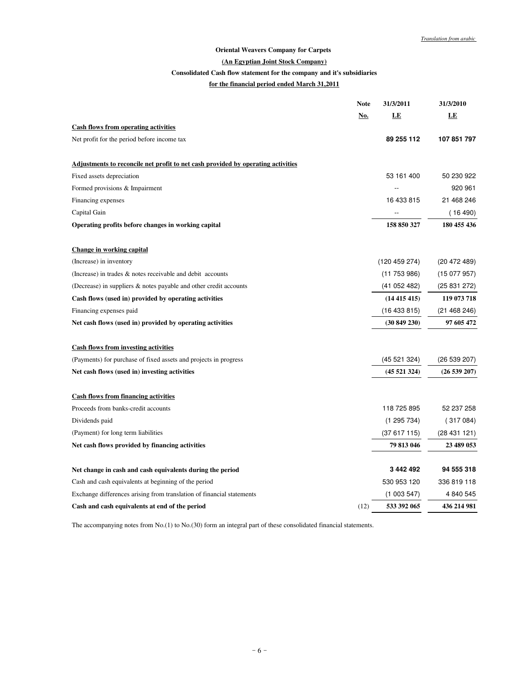## **Oriental Weavers Company for Carpets**

## **(An Egyptian Joint Stock Company)**

## **Consolidated Cash flow statement for the company and it's subsidiaries**

# **for the financial period ended March 31,2011**

|                                                                                  | <b>Note</b> | <b>31/3/2011</b> | 31/3/2010    |
|----------------------------------------------------------------------------------|-------------|------------------|--------------|
|                                                                                  | <u>No.</u>  | LE               | LE           |
| <b>Cash flows from operating activities</b>                                      |             |                  |              |
| Net profit for the period before income tax                                      |             | 89 255 112       | 107 851 797  |
| Adjustments to reconcile net profit to net cash provided by operating activities |             |                  |              |
| Fixed assets depreciation                                                        |             | 53 161 400       | 50 230 922   |
| Formed provisions & Impairment                                                   |             |                  | 920 961      |
| Financing expenses                                                               |             | 16 433 815       | 21 468 246   |
| Capital Gain                                                                     |             |                  | (16 490)     |
| Operating profits before changes in working capital                              |             | 158 850 327      | 180 455 436  |
| Change in working capital                                                        |             |                  |              |
| (Increase) in inventory                                                          |             | (120 459 274)    | (20 472 489) |
| (Increase) in trades & notes receivable and debit accounts                       |             | (11753986)       | (15077957)   |
| (Decrease) in suppliers & notes payable and other credit accounts                |             | (41052482)       | (25831272)   |
| Cash flows (used in) provided by operating activities                            |             | (14415415)       | 119 073 718  |
| Financing expenses paid                                                          |             | (16433815)       | (21468246)   |
| Net cash flows (used in) provided by operating activities                        |             | (30849230)       | 97 605 472   |
| <b>Cash flows from investing activities</b>                                      |             |                  |              |
| (Payments) for purchase of fixed assets and projects in progress                 |             | (45 521 324)     | (26 539 207) |
| Net cash flows (used in) investing activities                                    |             | (45521324)       | (26539207)   |
| <b>Cash flows from financing activities</b>                                      |             |                  |              |
| Proceeds from banks-credit accounts                                              |             | 118 725 895      | 52 237 258   |
| Dividends paid                                                                   |             | (1295734)        | (317084)     |
| (Payment) for long term liabilities                                              |             | (37617115)       | (28431121)   |
| Net cash flows provided by financing activities                                  |             | 79 813 046       | 23 489 053   |
| Net change in cash and cash equivalents during the period                        |             | 3 442 492        | 94 555 318   |
| Cash and cash equivalents at beginning of the period                             |             | 530 953 120      | 336 819 118  |
| Exchange differences arising from translation of financial statements            |             | (1003547)        | 4 840 545    |
| Cash and cash equivalents at end of the period                                   | (12)        | 533 392 065      | 436 214 981  |
|                                                                                  |             |                  |              |

The accompanying notes from No.(1) to No.(30) form an integral part of these consolidated financial statements.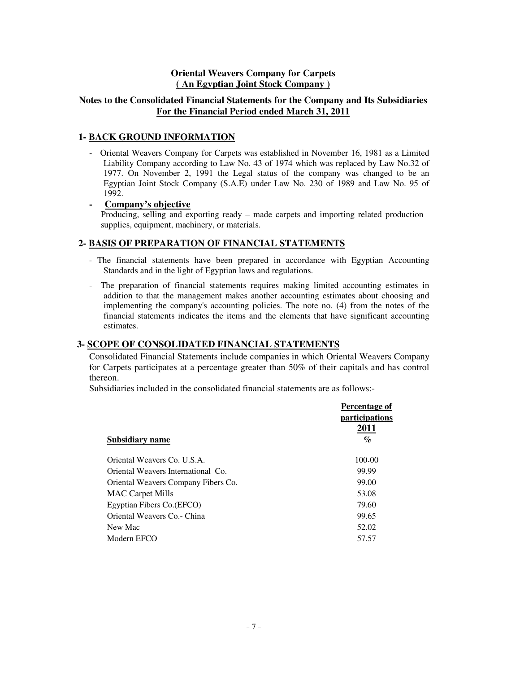# **Oriental Weavers Company for Carpets ( An Egyptian Joint Stock Company )**

# **Notes to the Consolidated Financial Statements for the Company and Its Subsidiaries For the Financial Period ended March 31, 2011**

# **1- BACK GROUND INFORMATION**

- Oriental Weavers Company for Carpets was established in November 16, 1981 as a Limited Liability Company according to Law No. 43 of 1974 which was replaced by Law No.32 of 1977. On November 2, 1991 the Legal status of the company was changed to be an Egyptian Joint Stock Company (S.A.E) under Law No. 230 of 1989 and Law No. 95 of 1992.

**- Company's objective**

Producing, selling and exporting ready – made carpets and importing related production supplies, equipment, machinery, or materials.

# **2- BASIS OF PREPARATION OF FINANCIAL STATEMENTS**

- The financial statements have been prepared in accordance with Egyptian Accounting Standards and in the light of Egyptian laws and regulations.
- The preparation of financial statements requires making limited accounting estimates in addition to that the management makes another accounting estimates about choosing and implementing the company's accounting policies. The note no. (4) from the notes of the financial statements indicates the items and the elements that have significant accounting estimates.

# **3- SCOPE OF CONSOLIDATED FINANCIAL STATEMENTS**

Consolidated Financial Statements include companies in which Oriental Weavers Company for Carpets participates at a percentage greater than 50% of their capitals and has control thereon.

Subsidiaries included in the consolidated financial statements are as follows:-

|                                     | Percentage of                 |
|-------------------------------------|-------------------------------|
|                                     | <i>participations</i><br>2011 |
| Subsidiary name                     | $\%$                          |
| Oriental Weavers Co. U.S.A.         | 100.00                        |
| Oriental Weavers International Co.  | 99.99                         |
| Oriental Weavers Company Fibers Co. | 99.00                         |
| <b>MAC</b> Carpet Mills             | 53.08                         |
| Egyptian Fibers Co. (EFCO)          | 79.60                         |
| Oriental Weavers Co. - China        | 99.65                         |
| New Mac                             | 52.02                         |
| Modern EFCO                         | 57.57                         |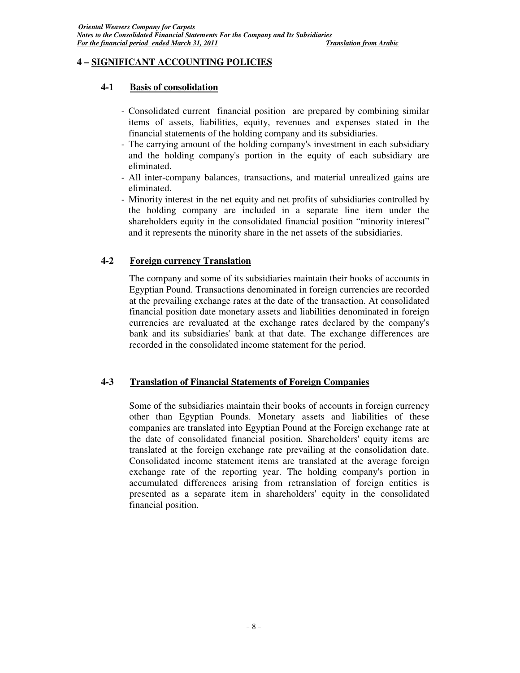# **4 – SIGNIFICANT ACCOUNTING POLICIES**

# **4-1 Basis of consolidation**

- Consolidated current financial position are prepared by combining similar items of assets, liabilities, equity, revenues and expenses stated in the financial statements of the holding company and its subsidiaries.
- The carrying amount of the holding company's investment in each subsidiary and the holding company's portion in the equity of each subsidiary are eliminated.
- All inter-company balances, transactions, and material unrealized gains are eliminated.
- Minority interest in the net equity and net profits of subsidiaries controlled by the holding company are included in a separate line item under the shareholders equity in the consolidated financial position "minority interest" and it represents the minority share in the net assets of the subsidiaries.

# **4-2 Foreign currency Translation**

The company and some of its subsidiaries maintain their books of accounts in Egyptian Pound. Transactions denominated in foreign currencies are recorded at the prevailing exchange rates at the date of the transaction. At consolidated financial position date monetary assets and liabilities denominated in foreign currencies are revaluated at the exchange rates declared by the company's bank and its subsidiaries' bank at that date. The exchange differences are recorded in the consolidated income statement for the period.

# **4-3 Translation of Financial Statements of Foreign Companies**

Some of the subsidiaries maintain their books of accounts in foreign currency other than Egyptian Pounds. Monetary assets and liabilities of these companies are translated into Egyptian Pound at the Foreign exchange rate at the date of consolidated financial position. Shareholders' equity items are translated at the foreign exchange rate prevailing at the consolidation date. Consolidated income statement items are translated at the average foreign exchange rate of the reporting year. The holding company's portion in accumulated differences arising from retranslation of foreign entities is presented as a separate item in shareholders' equity in the consolidated financial position.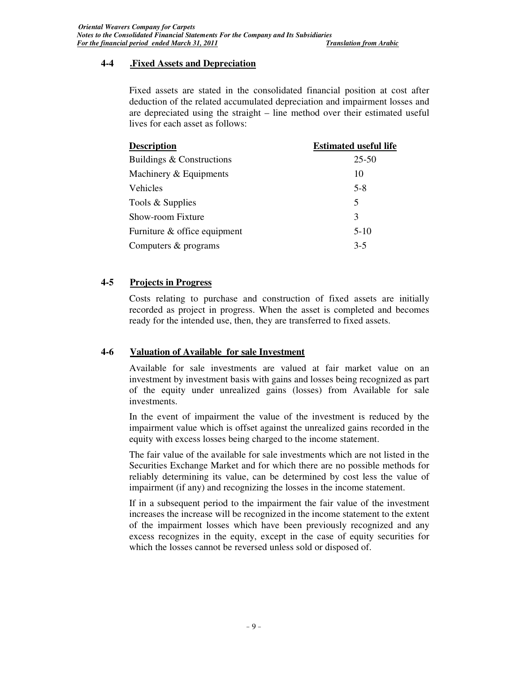# **4-4 .Fixed Assets and Depreciation**

Fixed assets are stated in the consolidated financial position at cost after deduction of the related accumulated depreciation and impairment losses and are depreciated using the straight – line method over their estimated useful lives for each asset as follows:

| <b>Description</b>           | <b>Estimated useful life</b> |
|------------------------------|------------------------------|
| Buildings & Constructions    | $25 - 50$                    |
| Machinery & Equipments       | 10                           |
| Vehicles                     | $5 - 8$                      |
| Tools & Supplies             | 5                            |
| Show-room Fixture            | 3                            |
| Furniture & office equipment | $5-10$                       |
| Computers & programs         | $3-5$                        |
|                              |                              |

# **4-5 Projects in Progress**

Costs relating to purchase and construction of fixed assets are initially recorded as project in progress. When the asset is completed and becomes ready for the intended use, then, they are transferred to fixed assets.

# **4-6 Valuation of Available for sale Investment**

Available for sale investments are valued at fair market value on an investment by investment basis with gains and losses being recognized as part of the equity under unrealized gains (losses) from Available for sale investments.

In the event of impairment the value of the investment is reduced by the impairment value which is offset against the unrealized gains recorded in the equity with excess losses being charged to the income statement.

The fair value of the available for sale investments which are not listed in the Securities Exchange Market and for which there are no possible methods for reliably determining its value, can be determined by cost less the value of impairment (if any) and recognizing the losses in the income statement.

If in a subsequent period to the impairment the fair value of the investment increases the increase will be recognized in the income statement to the extent of the impairment losses which have been previously recognized and any excess recognizes in the equity, except in the case of equity securities for which the losses cannot be reversed unless sold or disposed of.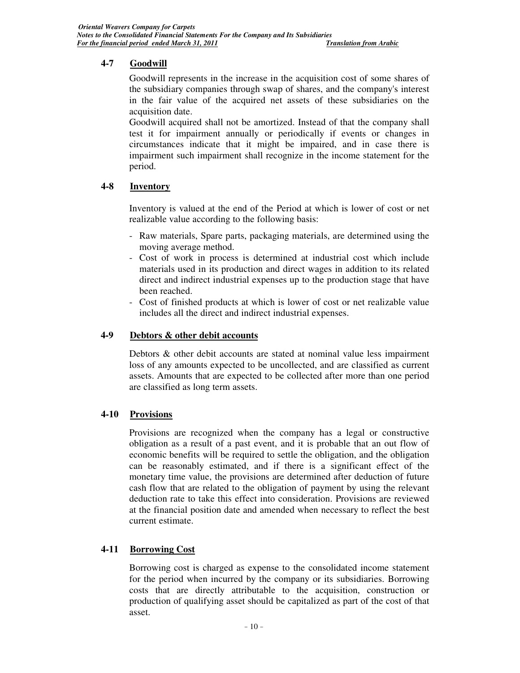# **4-7 Goodwill**

Goodwill represents in the increase in the acquisition cost of some shares of the subsidiary companies through swap of shares, and the company's interest in the fair value of the acquired net assets of these subsidiaries on the acquisition date.

Goodwill acquired shall not be amortized. Instead of that the company shall test it for impairment annually or periodically if events or changes in circumstances indicate that it might be impaired, and in case there is impairment such impairment shall recognize in the income statement for the period.

# **4-8 Inventory**

Inventory is valued at the end of the Period at which is lower of cost or net realizable value according to the following basis:

- Raw materials, Spare parts, packaging materials, are determined using the moving average method.
- Cost of work in process is determined at industrial cost which include materials used in its production and direct wages in addition to its related direct and indirect industrial expenses up to the production stage that have been reached.
- Cost of finished products at which is lower of cost or net realizable value includes all the direct and indirect industrial expenses.

# **4-9 Debtors & other debit accounts**

Debtors & other debit accounts are stated at nominal value less impairment loss of any amounts expected to be uncollected, and are classified as current assets. Amounts that are expected to be collected after more than one period are classified as long term assets.

# **4-10 Provisions**

Provisions are recognized when the company has a legal or constructive obligation as a result of a past event, and it is probable that an out flow of economic benefits will be required to settle the obligation, and the obligation can be reasonably estimated, and if there is a significant effect of the monetary time value, the provisions are determined after deduction of future cash flow that are related to the obligation of payment by using the relevant deduction rate to take this effect into consideration. Provisions are reviewed at the financial position date and amended when necessary to reflect the best current estimate.

# **4-11 Borrowing Cost**

Borrowing cost is charged as expense to the consolidated income statement for the period when incurred by the company or its subsidiaries. Borrowing costs that are directly attributable to the acquisition, construction or production of qualifying asset should be capitalized as part of the cost of that asset.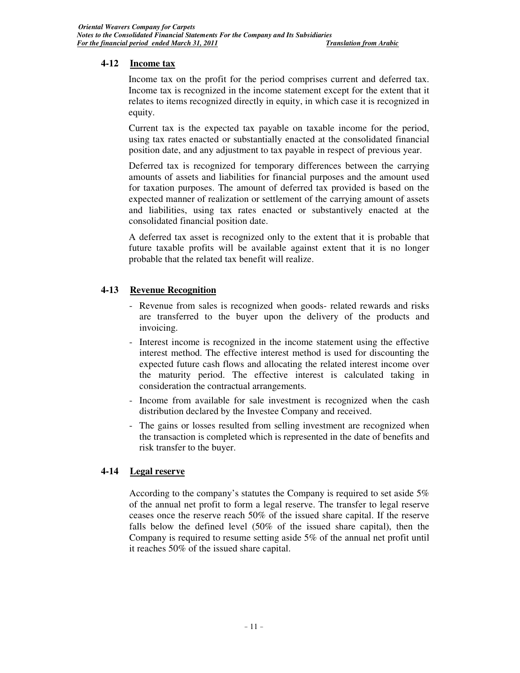# **4-12 Income tax**

Income tax on the profit for the period comprises current and deferred tax. Income tax is recognized in the income statement except for the extent that it relates to items recognized directly in equity, in which case it is recognized in equity.

Current tax is the expected tax payable on taxable income for the period, using tax rates enacted or substantially enacted at the consolidated financial position date, and any adjustment to tax payable in respect of previous year.

Deferred tax is recognized for temporary differences between the carrying amounts of assets and liabilities for financial purposes and the amount used for taxation purposes. The amount of deferred tax provided is based on the expected manner of realization or settlement of the carrying amount of assets and liabilities, using tax rates enacted or substantively enacted at the consolidated financial position date.

A deferred tax asset is recognized only to the extent that it is probable that future taxable profits will be available against extent that it is no longer probable that the related tax benefit will realize.

# **4-13 Revenue Recognition**

- Revenue from sales is recognized when goods- related rewards and risks are transferred to the buyer upon the delivery of the products and invoicing.
- Interest income is recognized in the income statement using the effective interest method. The effective interest method is used for discounting the expected future cash flows and allocating the related interest income over the maturity period. The effective interest is calculated taking in consideration the contractual arrangements.
- Income from available for sale investment is recognized when the cash distribution declared by the Investee Company and received.
- The gains or losses resulted from selling investment are recognized when the transaction is completed which is represented in the date of benefits and risk transfer to the buyer.

# **4-14 Legal reserve**

According to the company's statutes the Company is required to set aside 5% of the annual net profit to form a legal reserve. The transfer to legal reserve ceases once the reserve reach 50% of the issued share capital. If the reserve falls below the defined level (50% of the issued share capital), then the Company is required to resume setting aside 5% of the annual net profit until it reaches 50% of the issued share capital.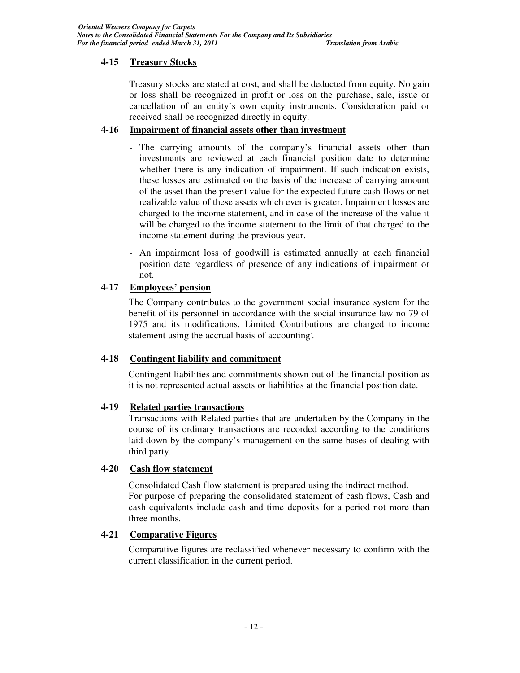# **4-15 Treasury Stocks**

Treasury stocks are stated at cost, and shall be deducted from equity. No gain or loss shall be recognized in profit or loss on the purchase, sale, issue or cancellation of an entity's own equity instruments. Consideration paid or received shall be recognized directly in equity.

# **4-16 Impairment of financial assets other than investment**

- The carrying amounts of the company's financial assets other than investments are reviewed at each financial position date to determine whether there is any indication of impairment. If such indication exists, these losses are estimated on the basis of the increase of carrying amount of the asset than the present value for the expected future cash flows or net realizable value of these assets which ever is greater. Impairment losses are charged to the income statement, and in case of the increase of the value it will be charged to the income statement to the limit of that charged to the income statement during the previous year.
- An impairment loss of goodwill is estimated annually at each financial position date regardless of presence of any indications of impairment or not.

# **4-17 Employees' pension**

The Company contributes to the government social insurance system for the benefit of its personnel in accordance with the social insurance law no 79 of 1975 and its modifications. Limited Contributions are charged to income statement using the accrual basis of accounting. .

# **4-18 Contingent liability and commitment**

Contingent liabilities and commitments shown out of the financial position as it is not represented actual assets or liabilities at the financial position date.

# **4-19 Related parties transactions**

Transactions with Related parties that are undertaken by the Company in the course of its ordinary transactions are recorded according to the conditions laid down by the company's management on the same bases of dealing with third party.

# **4-20 Cash flow statement**

Consolidated Cash flow statement is prepared using the indirect method. For purpose of preparing the consolidated statement of cash flows, Cash and cash equivalents include cash and time deposits for a period not more than three months.

# **4-21 Comparative Figures**

Comparative figures are reclassified whenever necessary to confirm with the current classification in the current period.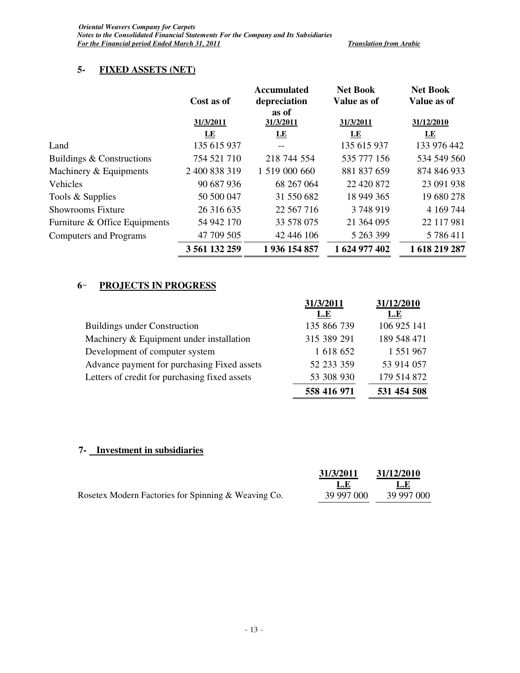# **5- FIXED ASSETS (NET)**

|                               | Cost as of    | <b>Accumulated</b><br>depreciation | <b>Net Book</b><br>Value as of | <b>Net Book</b><br>Value as of |
|-------------------------------|---------------|------------------------------------|--------------------------------|--------------------------------|
|                               | 31/3/2011     | as of<br>31/3/2011                 | 31/3/2011                      | 31/12/2010                     |
|                               | LE            | LE                                 | <u>LE</u>                      | $E_{\rm E}$                    |
| Land                          | 135 615 937   |                                    | 135 615 937                    | 133 976 442                    |
| Buildings & Constructions     | 754 521 710   | 218 744 554                        | 535 777 156                    | 534 549 560                    |
| Machinery & Equipments        | 2 400 838 319 | 1 519 000 660                      | 881 837 659                    | 874 846 933                    |
| Vehicles                      | 90 687 936    | 68 267 064                         | 22 4 20 8 72                   | 23 091 938                     |
| Tools & Supplies              | 50 500 047    | 31 550 682                         | 18 949 365                     | 19 680 278                     |
| <b>Showrooms Fixture</b>      | 26 316 635    | 22 567 716                         | 3748919                        | 4 169 744                      |
| Furniture & Office Equipments | 54 942 170    | 33 578 075                         | 21 364 095                     | 22 117 981                     |
| <b>Computers and Programs</b> | 47 709 505    | 42 446 106                         | 5 263 399                      | 5786411                        |
|                               | 3 561 132 259 | 1936 154 857                       | 1 624 977 402                  | 1 618 219 287                  |

# **6** - **PROJECTS IN PROGRESS**

|                                               | 31/3/2011   | 31/12/2010  |
|-----------------------------------------------|-------------|-------------|
|                                               | L.E         | L.E         |
| <b>Buildings under Construction</b>           | 135 866 739 | 106 925 141 |
| Machinery & Equipment under installation      | 315 389 291 | 189 548 471 |
| Development of computer system                | 1 618 652   | 1 551 967   |
| Advance payment for purchasing Fixed assets   | 52 233 359  | 53 914 057  |
| Letters of credit for purchasing fixed assets | 53 308 930  | 179 514 872 |
|                                               | 558 416 971 | 531 454 508 |

# **7- Investment in subsidiaries**

|                                                     | 31/3/2011  | 31/12/2010 |
|-----------------------------------------------------|------------|------------|
|                                                     | -L.E       | L.E        |
| Rosetex Modern Factories for Spinning & Weaving Co. | 39 997 000 | 39 997 000 |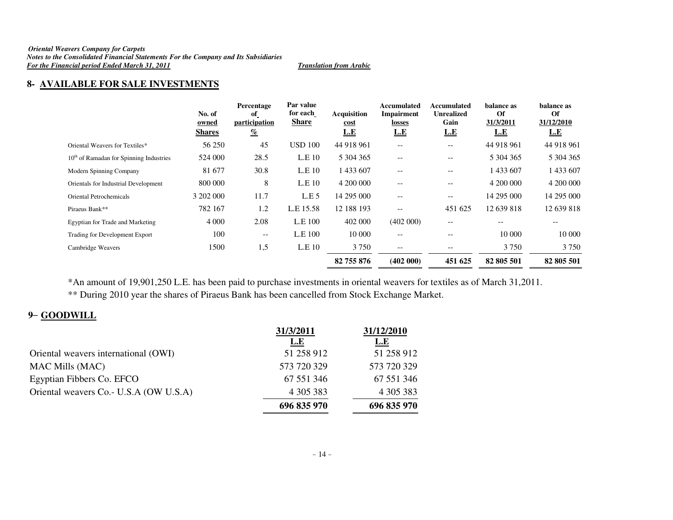## *Oriental Weavers Company for Carpets Notes to the Consolidated Financial Statements For the Company and Its Subsidiaries For the Financial period Ended March 31, 2011 Translation from Arabic*

# **8- AVAILABLE FOR SALE INVESTMENTS**

|                                           | No. of<br>owned<br><b>Shares</b> | Percentage<br><sub>of</sub><br>participation<br>$\frac{q_0}{q_0}$ | Par value<br>for each<br><b>Share</b> | <b>Acquisition</b><br><u>cost</u><br><u>L.E</u> | Accumulated<br>Impairment<br>losses<br>L.E | Accumulated<br><b>Unrealized</b><br>Gain<br>L.E | balance as<br>Of<br>31/3/2011<br>L.E | balance as<br>Of<br>31/12/2010<br>L.E |
|-------------------------------------------|----------------------------------|-------------------------------------------------------------------|---------------------------------------|-------------------------------------------------|--------------------------------------------|-------------------------------------------------|--------------------------------------|---------------------------------------|
| Oriental Weavers for Textiles*            | 56 250                           | 45                                                                | <b>USD 100</b>                        | 44 918 961                                      | $\qquad \qquad -$                          | $-$                                             | 44 918 961                           | 44 918 961                            |
| $10th$ of Ramadan for Spinning Industries | 524 000                          | 28.5                                                              | L.E.10                                | 5 304 365                                       | $\qquad \qquad -$                          | $\qquad \qquad -$                               | 5 304 365                            | 5 304 365                             |
| Modern Spinning Company                   | 81 677                           | 30.8                                                              | L.E.10                                | 1433607                                         | $-$                                        | $-$                                             | 1433607                              | 1 433 607                             |
| Orientals for Industrial Development      | 800 000                          | 8                                                                 | L.E.10                                | 4 200 000                                       | $\qquad \qquad -$                          | $\qquad \qquad -$                               | 4 200 000                            | 4 200 000                             |
| Oriental Petrochemicals                   | 3 202 000                        | 11.7                                                              | L.E.5                                 | 14 295 000                                      | $\overline{\phantom{m}}$                   | $\overline{\phantom{m}}$                        | 14 295 000                           | 14 295 000                            |
| Piraeus Bank**                            | 782 167                          | 1.2                                                               | L.E 15.58                             | 12 188 193                                      | $-$                                        | 451 625                                         | 12 639 818                           | 12 639 818                            |
| Egyptian for Trade and Marketing          | 4 0 0 0                          | 2.08                                                              | L.E 100                               | 402 000                                         | (402 000)                                  | $-$                                             |                                      |                                       |
| Trading for Development Export            | 100                              | $-\,-$                                                            | L.E 100                               | 10 000                                          | $\qquad \qquad -$                          | $- -$                                           | 10 000                               | 10 000                                |
| Cambridge Weavers                         | 1500                             | 1,5                                                               | L.E 10                                | 3 7 5 0                                         | $\overline{\phantom{m}}$                   | $\qquad \qquad -$                               | 3750                                 | 3 7 5 0                               |
|                                           |                                  |                                                                   |                                       | 82 755 876                                      | (402 000)                                  | 451 625                                         | 82 805 501                           | 82 805 501                            |

\*An amount of 19,901,250 L.E. has been paid to purchase investments in oriental weavers for textiles as of March 31,2011.

\*\* During 2010 year the shares of Piraeus Bank has been cancelled from Stock Exchange Market.

# **9** – **GOODWILL**

|                                         | 31/3/2011   | 31/12/2010  |
|-----------------------------------------|-------------|-------------|
|                                         | L.E         | <u>L.E</u>  |
| Oriental weavers international (OWI)    | 51 258 912  | 51 258 912  |
| <b>MAC Mills (MAC)</b>                  | 573 720 329 | 573 720 329 |
| Egyptian Fibbers Co. EFCO               | 67 551 346  | 67 551 346  |
| Oriental weavers Co. - U.S.A (OW U.S.A) | 4 305 383   | 4 305 383   |
|                                         | 696 835 970 | 696 835 970 |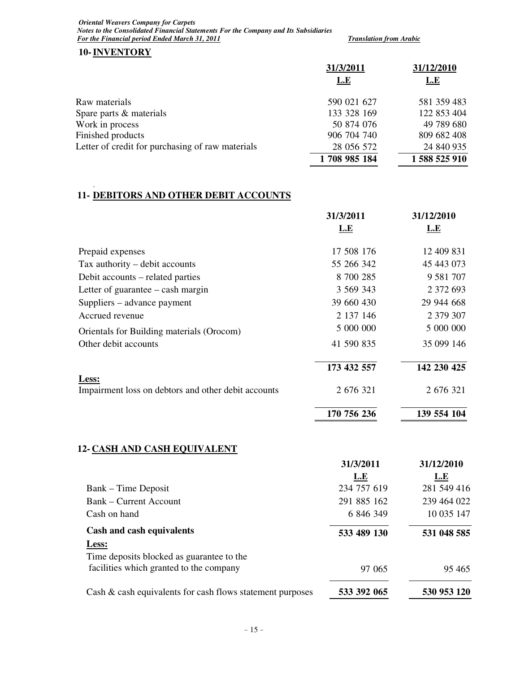*Oriental Weavers Company for Carpets Notes to the Consolidated Financial Statements For the Company and Its Subsidiaries For the Financial period Ended March 31, 2011 Translation from Arabic* 

# **10-INVENTORY**

.

|                                                  | 31/3/2011    | 31/12/2010  |  |
|--------------------------------------------------|--------------|-------------|--|
|                                                  | L.E          | <u>L.E</u>  |  |
| Raw materials                                    | 590 021 627  | 581 359 483 |  |
| Spare parts & materials                          | 133 328 169  | 122 853 404 |  |
| Work in process                                  | 50 874 076   | 49 789 680  |  |
| Finished products                                | 906 704 740  | 809 682 408 |  |
| Letter of credit for purchasing of raw materials | 28 056 572   | 24 840 935  |  |
|                                                  | 1708 985 184 | 1588525910  |  |

# **11- DEBITORS AND OTHER DEBIT ACCOUNTS**

|                                                              | 31/3/2011   | 31/12/2010    |
|--------------------------------------------------------------|-------------|---------------|
|                                                              | L.E         | <u>L.E</u>    |
| Prepaid expenses                                             | 17 508 176  | 12 409 831    |
| Tax authority – debit accounts                               | 55 266 342  | 45 443 073    |
| Debit accounts – related parties                             | 8 700 285   | 9 5 8 1 7 0 7 |
| Letter of guarantee $-\cosh \frac{m}{2}$                     | 3 569 343   | 2 372 693     |
| Suppliers – advance payment                                  | 39 660 430  | 29 944 668    |
| Accrued revenue                                              | 2 137 146   | 2 379 307     |
| Orientals for Building materials (Orocom)                    | 5 000 000   | 5 000 000     |
| Other debit accounts                                         | 41 590 835  | 35 099 146    |
|                                                              | 173 432 557 | 142 230 425   |
| Less:<br>Impairment loss on debtors and other debit accounts | 2 676 321   | 2 676 321     |
|                                                              | 170 756 236 | 139 554 104   |
| <b>12- CASH AND CASH EQUIVALENT</b>                          |             |               |
|                                                              | 31/3/2011   | 31/12/2010    |
|                                                              | і Е         | I F           |

| 234 757 619<br>281 549 416<br>239 464 022<br>291 885 162 |
|----------------------------------------------------------|
|                                                          |
|                                                          |
| 10 035 147<br>6 846 349                                  |
| 533 489 130<br>531 048 585                               |
|                                                          |
|                                                          |
| 95 4 65<br>97 065                                        |
| 530 953 120<br>533 392 065                               |
|                                                          |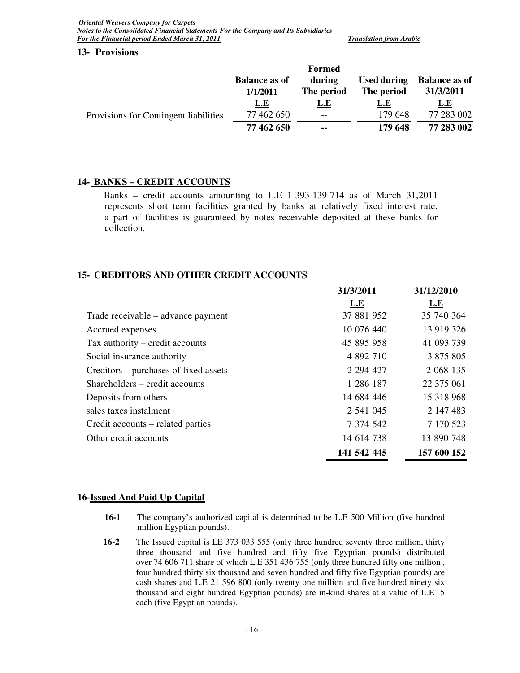*Oriental Weavers Company for Carpets Notes to the Consolidated Financial Statements For the Company and Its Subsidiaries For the Financial period Ended March 31, 2011* **Translation from Arabic Contract Contract Arabic Contract Contract Contract Contract Contract Contract Contract Contract Contract Contract Contract Contract Contract Contrac** 

**13- Provisions**

|                                       |                      | <b>Formed</b> |                    |                      |
|---------------------------------------|----------------------|---------------|--------------------|----------------------|
|                                       | <b>Balance as of</b> | during        | <b>Used during</b> | <b>Balance as of</b> |
|                                       | 1/1/2011             | The period    | The period         | 31/3/2011            |
| Provisions for Contingent liabilities | <u>L.E</u>           | <u>L.E</u>    | <u>L.E</u>         | <u>L.E</u>           |
|                                       | 77 462 650           | $- -$         | 179 648            | 77 283 002           |
|                                       | 77 462 650           | $\sim$        | 179 648            | 77 283 002           |
|                                       |                      |               |                    |                      |

# **14- BANKS – CREDIT ACCOUNTS**

Banks – credit accounts amounting to L.E 1 393 139 714 as of March  $31,2011$ represents short term facilities granted by banks at relatively fixed interest rate, a part of facilities is guaranteed by notes receivable deposited at these banks for collection.

# **15- CREDITORS AND OTHER CREDIT ACCOUNTS**

|                                       | 31/3/4011   | 31/1 <i>4</i> /4010 |
|---------------------------------------|-------------|---------------------|
|                                       | <b>L.E</b>  | <u>L.E</u>          |
| Trade receivable – advance payment    | 37 881 952  | 35 740 364          |
| Accrued expenses                      | 10 076 440  | 13 919 326          |
| Tax authority – credit accounts       | 45 895 958  | 41 093 739          |
| Social insurance authority            | 4 892 710   | 3 875 805           |
| Creditors – purchases of fixed assets | 2 294 427   | 2 068 135           |
| Shareholders – credit accounts        | 1 286 187   | 22 375 061          |
| Deposits from others                  | 14 684 446  | 15 318 968          |
| sales taxes instalment                | 2 541 045   | 2 147 483           |
| Credit accounts – related parties     | 7 374 542   | 7 170 523           |
| Other credit accounts                 | 14 614 738  | 13 890 748          |
|                                       | 141 542 445 | 157 600 152         |
|                                       |             |                     |

**31/3/2011 31/12/2010**

# **16-Issued And Paid Up Capital**

- **16-1** The company's authorized capital is determined to be L.E 500 Million (five hundred million Egyptian pounds).
- **16-2** The Issued capital is LE 373 033 555 (only three hundred seventy three million, thirty three thousand and five hundred and fifty five Egyptian pounds) distributed over 74 606 711 share of which L.E 351 436 755 (only three hundred fifty one million , four hundred thirty six thousand and seven hundred and fifty five Egyptian pounds) are cash shares and L.E 21 596 800 (only twenty one million and five hundred ninety six thousand and eight hundred Egyptian pounds) are in-kind shares at a value of L.E 5 each (five Egyptian pounds).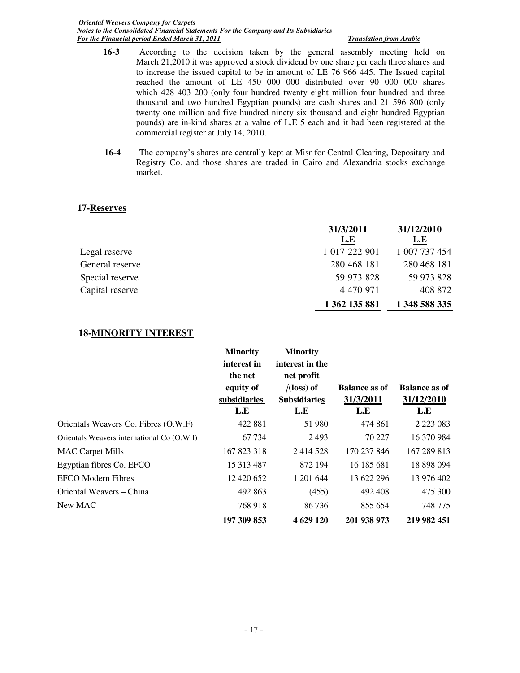*Oriental Weavers Company for Carpets Notes to the Consolidated Financial Statements For the Company and Its Subsidiaries For the Financial period Ended March 31, 2011 Translation from Arabic* 

- **16-3** According to the decision taken by the general assembly meeting held on March 21,2010 it was approved a stock dividend by one share per each three shares and to increase the issued capital to be in amount of LE 76 966 445. The Issued capital reached the amount of LE 450 000 000 distributed over 90 000 000 shares which 428 403 200 (only four hundred twenty eight million four hundred and three thousand and two hundred Egyptian pounds) are cash shares and 21 596 800 (only twenty one million and five hundred ninety six thousand and eight hundred Egyptian pounds) are in-kind shares at a value of L.E 5 each and it had been registered at the commercial register at July 14, 2010.
- **16-4** The company's shares are centrally kept at Misr for Central Clearing, Depositary and Registry Co. and those shares are traded in Cairo and Alexandria stocks exchange market.

# **17-Reserves**

|                 | 31/3/2011     | 31/12/2010    |
|-----------------|---------------|---------------|
|                 | <u>L.E</u>    | L.E           |
| Legal reserve   | 1 017 222 901 | 1 007 737 454 |
| General reserve | 280 468 181   | 280 468 181   |
| Special reserve | 59 973 828    | 59 973 828    |
| Capital reserve | 4 470 971     | 408 872       |
|                 | 1 362 135 881 | 1 348 588 335 |

# **18-MINORITY INTEREST**

|                                            | <b>Minority</b><br>interest in<br>the net | <b>Minority</b><br>interest in the<br>net profit |                      |                      |
|--------------------------------------------|-------------------------------------------|--------------------------------------------------|----------------------|----------------------|
|                                            | equity of                                 | $/$ (loss) of                                    | <b>Balance as of</b> | <b>Balance as of</b> |
|                                            | subsidiaries                              | <b>Subsidiaries</b>                              | 31/3/2011            | 31/12/2010           |
|                                            | L.E                                       | L.E                                              | L.E                  | <b>L.E</b>           |
| Orientals Weavers Co. Fibres (O.W.F)       | 422 881                                   | 51 980                                           | 474 861              | 2 2 2 3 0 8 3        |
| Orientals Weavers international Co (O.W.I) | 67 734                                    | 2493                                             | 70 227               | 16 370 984           |
| <b>MAC Carpet Mills</b>                    | 167 823 318                               | 2 4 1 4 5 2 8                                    | 170 237 846          | 167 289 813          |
| Egyptian fibres Co. EFCO                   | 15 313 487                                | 872 194                                          | 16 185 681           | 18 898 094           |
| <b>EFCO Modern Fibres</b>                  | 12 420 652                                | 1 201 644                                        | 13 622 296           | 13 976 402           |
| Oriental Weavers – China                   | 492 863                                   | (455)                                            | 492 408              | 475 300              |
| New MAC                                    | 768 918                                   | 86 736                                           | 855 654              | 748 775              |
|                                            | 197 309 853                               | 4 629 120                                        | 201 938 973          | 219 982 451          |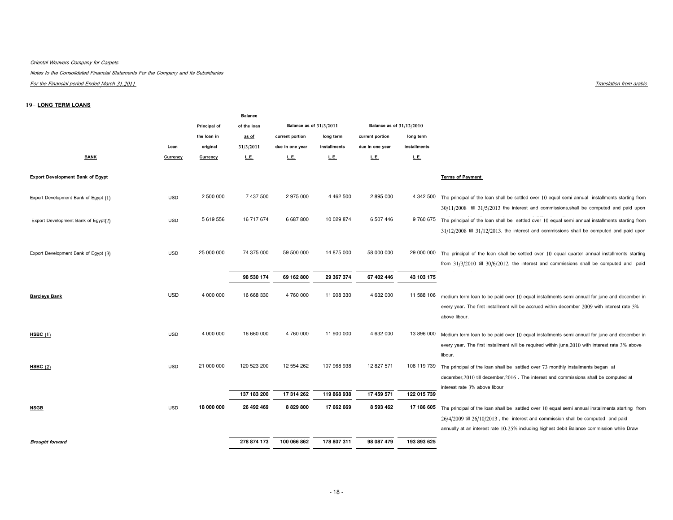## Oriental Weavers Company for Carpets

Notes to the Consolidated Financial Statements For the Company and Its Subsidiaries

For the Financial period Ended March 31,2011

## 19-LONG TERM LOANS

|                                         |            |              | <b>Balance</b> |                         |               |                          |              |                                                                                                                                                                                                                                                                                        |
|-----------------------------------------|------------|--------------|----------------|-------------------------|---------------|--------------------------|--------------|----------------------------------------------------------------------------------------------------------------------------------------------------------------------------------------------------------------------------------------------------------------------------------------|
|                                         |            | Principal of | of the loan    | Balance as of 31/3/2011 |               | Balance as of 31/12/2010 |              |                                                                                                                                                                                                                                                                                        |
|                                         |            | the loan in  | as of          | current portion         | long term     | current portion          | long term    |                                                                                                                                                                                                                                                                                        |
|                                         | Loan       | original     | 31/3/2011      | due in one year         | installments  | due in one year          | installments |                                                                                                                                                                                                                                                                                        |
| <b>BANK</b>                             | Currency   | Currency     | L.E.           | L.E.                    | L.E.          | L.E.                     | L.E.         |                                                                                                                                                                                                                                                                                        |
| <b>Export Development Bank of Egypt</b> |            |              |                |                         |               |                          |              | <b>Terms of Payment</b>                                                                                                                                                                                                                                                                |
| Export Development Bank of Egypt (1)    | <b>USD</b> | 2 500 000    | 7 437 500      | 2 975 000               | 4 4 6 2 5 0 0 | 2 895 000                | 4 342 500    | The principal of the loan shall be settled over 10 equal semi annual installments starting from<br>$30/11/2008$ till $31/5/2013$ the interest and commissions, shall be computed and paid upon                                                                                         |
| Export Development Bank of Egypt(2)     | <b>USD</b> | 5 619 556    | 16 717 674     | 6 687 800               | 10 029 874    | 6 507 446                | 9 760 675    | The principal of the loan shall be settled over 10 equal semi annual installments starting from<br>$31/12/2008$ till $31/12/2013$ , the interest and commissions shall be computed and paid upon                                                                                       |
| Export Development Bank of Egypt (3)    | <b>USD</b> | 25 000 000   | 74 375 000     | 59 500 000              | 14 875 000    | 58 000 000               | 29 000 000   | The principal of the loan shall be settled over 10 equal quarter annual installments starting<br>from $31/3/2010$ till $30/6/2012$ , the interest and commissions shall be computed and paid                                                                                           |
|                                         |            |              | 98 530 174     | 69 162 800              | 29 367 374    | 67 402 446               | 43 103 175   |                                                                                                                                                                                                                                                                                        |
| <b>Barcleys Bank</b>                    | <b>USD</b> | 4 000 000    | 16 668 330     | 4 760 000               | 11 908 330    | 4 632 000                | 11 588 106   | medium term loan to be paid over 10 equal installments semi annual for june and december in<br>every year. The first installment will be accrued within december 2009 with interest rate 3%<br>above libour.                                                                           |
| HSBC $(1)$                              | <b>USD</b> | 4 000 000    | 16 660 000     | 4 760 000               | 11 900 000    | 4 632 000                | 13 896 000   | Medium term loan to be paid over 10 equal installments semi annual for june and december in<br>every year. The first installment will be required within june, 2010 with interest rate 3% above<br>libour.                                                                             |
| HSBC(2)                                 | <b>USD</b> | 21 000 000   | 120 523 200    | 12 554 262              | 107 968 938   | 12 827 571               | 108 119 739  | The principal of the loan shall be settled over 73 monthly installments began at<br>december, 2010 till december, 2016. The interest and commissions shall be computed at<br>interest rate 3% above libour                                                                             |
|                                         |            |              | 137 183 200    | 17 314 262              | 119 868 938   | 17 459 571               | 122 015 739  |                                                                                                                                                                                                                                                                                        |
| <b>NSGB</b>                             | <b>USD</b> | 18 000 000   | 26 492 469     | 8 8 29 8 00             | 17 662 669    | 8 593 462                | 17 186 605   | The principal of the loan shall be settled over 10 equal semi annual installments starting from<br>$26/4/2009$ till $26/10/2013$ , the interest and commission shall be computed and paid<br>annually at an interest rate 10.25% including highest debit Balance commission while Draw |
| <b>Brought forward</b>                  |            |              | 278 874 173    | 100 066 862             | 178 807 311   | 98 087 479               | 193 893 625  |                                                                                                                                                                                                                                                                                        |

Translation from arabic terms of the state of the state of the state of the state of the state of the state of the state of the state of the state of the state of the state of the state of the state of the state of the sta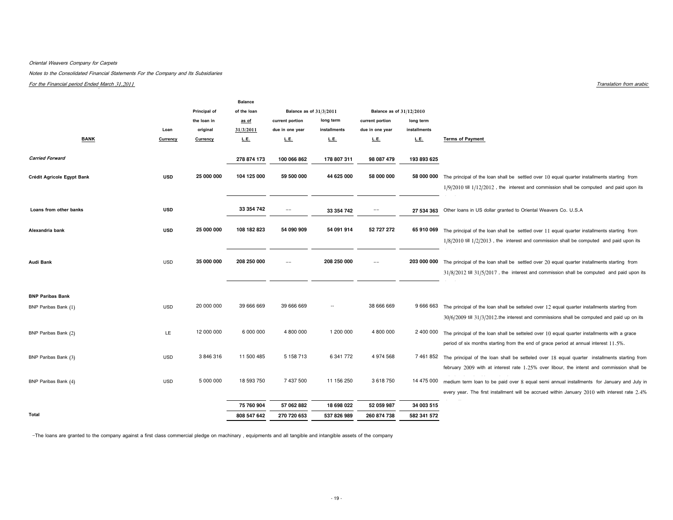## Oriental Weavers Company for Carpets

Notes to the Consolidated Financial Statements For the Company and Its Subsidiaries

For the Financial period Ended March 31,2011

|                            |            |                 | <b>Balance</b> |                         |              |                          |              |                                                                                                        |
|----------------------------|------------|-----------------|----------------|-------------------------|--------------|--------------------------|--------------|--------------------------------------------------------------------------------------------------------|
|                            |            | Principal of    | of the loan    | Balance as of 31/3/2011 |              | Balance as of 31/12/2010 |              |                                                                                                        |
|                            |            | the loan in     | as of          | current portion         | long term    | current portion          | long term    |                                                                                                        |
|                            | Loan       | original        | 31/3/2011      | due in one year         | installments | due in one year          | installments |                                                                                                        |
| <b>BANK</b>                | Currency   | <b>Currency</b> | L.E.           | L.E.                    | L.E.         | L.E.                     | L.E.         | <b>Terms of Payment</b>                                                                                |
|                            |            |                 |                |                         |              |                          |              |                                                                                                        |
| <b>Carried Forward</b>     |            |                 | 278 874 173    | 100 066 862             | 178 807 311  | 98 087 479               | 193 893 625  |                                                                                                        |
| Crédit Agricole Egypt Bank | <b>USD</b> | 25 000 000      | 104 125 000    | 59 500 000              | 44 625 000   | 58 000 000               | 58 000 000   | The principal of the loan shall be settled over 10 equal quarter installments starting from            |
|                            |            |                 |                |                         |              |                          |              | $1/9/2010$ till $1/12/2012$ , the interest and commission shall be computed and paid upon its          |
|                            |            |                 |                |                         |              |                          |              |                                                                                                        |
| Loans from other banks     | <b>USD</b> |                 | 33 354 742     | $\sim$ $\sim$           | 33 354 742   | $\qquad \qquad -$        |              | 27 534 363 Other loans in US dollar granted to Oriental Weavers Co. U.S.A                              |
|                            |            |                 |                |                         |              |                          |              |                                                                                                        |
| Alexandria bank            | <b>USD</b> | 25 000 000      | 108 182 823    | 54 090 909              | 54 091 914   | 52 727 272               | 65 910 069   | The principal of the loan shall be settled over 11 equal quarter installments starting from            |
|                            |            |                 |                |                         |              |                          |              | $1/8/2010$ till $1/2/2013$ , the interest and commission shall be computed and paid upon its           |
| Audi Bank                  | <b>USD</b> | 35 000 000      | 208 250 000    | $=$                     | 208 250 000  | --                       | 203 000 000  |                                                                                                        |
|                            |            |                 |                |                         |              |                          |              | The principal of the loan shall be settled over 20 equal quarter installments starting from            |
|                            |            |                 |                |                         |              |                          |              | $31/8/2012$ till $31/5/2017$ , the interest and commission shall be computed and paid upon its         |
|                            |            |                 |                |                         |              |                          |              |                                                                                                        |
| <b>BNP Paribas Bank</b>    |            | 20 000 000      | 39 666 669     | 39 666 669              | $\sim$       | 38 666 669               |              |                                                                                                        |
| BNP Paribas Bank (1)       | <b>USD</b> |                 |                |                         |              |                          |              | 9 666 663 The principal of the loan shall be setteled over 12 equal quarter installments starting from |
|                            |            |                 |                |                         |              |                          |              | $30/6/2009$ till $31/3/2012$ . the interest and commissions shall be computed and paid up on its       |
| BNP Paribas Bank (2)       | LE.        | 12 000 000      | 6 000 000      | 4 800 000               | 1 200 000    | 4 800 000                |              | 2 400 000 The principal of the loan shall be setteled over 10 equal quarter installments with a grace  |
|                            |            |                 |                |                         |              |                          |              | period of six months starting from the end of grace period at annual interest 11.5%.                   |
| BNP Paribas Bank (3)       | <b>USD</b> | 3846316         | 11 500 485     | 5 158 713               | 6 341 772    | 4 974 568                |              | 7 461 852 The principal of the loan shall be setteled over 18 equal quarter installments starting from |
|                            |            |                 |                |                         |              |                          |              | february 2009 with at interest rate 1.25% over libour, the interst and commission shall be             |
| BNP Paribas Bank (4)       | <b>USD</b> | 5 000 000       | 18 593 750     | 7 437 500               | 11 156 250   | 3618750                  |              | 14 475 000 medium term loan to be paid over 8 equal semi annual installments for January and July in   |
|                            |            |                 |                |                         |              |                          |              | every year. The first installment will be accrued within January 2010 with interest rate 2.4%          |
|                            |            |                 | 75 760 904     | 57 062 882              | 18 698 022   | 52 059 987               | 34 003 515   |                                                                                                        |
| Total                      |            |                 | 808 547 642    | 270 720 653             | 537 826 989  | 260 874 738              | 582 341 572  |                                                                                                        |

-The loans are granted to the company against a first class commercial pledge on machinary , equipments and all tangible and intangible assets of the company

Translation from arabic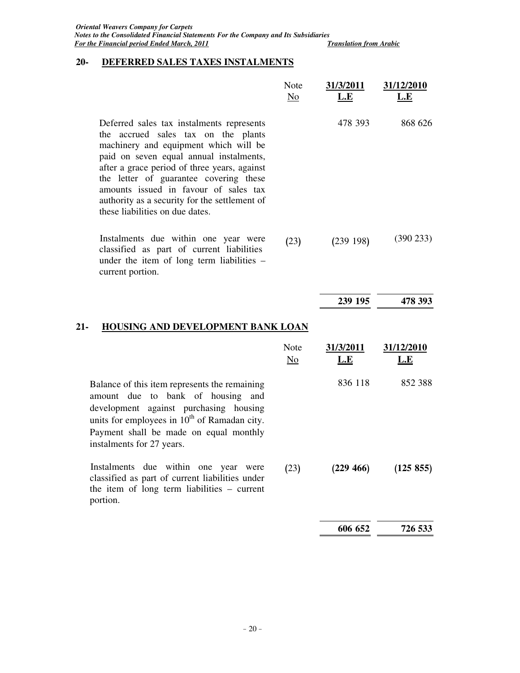# **20- DEFERRED SALES TAXES INSTALMENTS**

|                                                                                                                                                                                                                                                                                                                                                                                             | Note<br>N <sub>0</sub>         | 31/3/2011<br>L.E | 31/12/2010<br><b>L.E</b> |
|---------------------------------------------------------------------------------------------------------------------------------------------------------------------------------------------------------------------------------------------------------------------------------------------------------------------------------------------------------------------------------------------|--------------------------------|------------------|--------------------------|
| Deferred sales tax instalments represents<br>the accrued sales tax on the plants<br>machinery and equipment which will be<br>paid on seven equal annual instalments,<br>after a grace period of three years, against<br>the letter of guarantee covering these<br>amounts issued in favour of sales tax<br>authority as a security for the settlement of<br>these liabilities on due dates. |                                | 478 393          | 868 626                  |
| Instalments due within one year were<br>classified as part of current liabilities<br>under the item of long term liabilities -<br>current portion.                                                                                                                                                                                                                                          | (23)                           | (239198)         | (390 233)                |
|                                                                                                                                                                                                                                                                                                                                                                                             |                                | 239 195          | 478 393                  |
| HOUSING AND DEVELOPMENT BANK LOAN<br>21-                                                                                                                                                                                                                                                                                                                                                    |                                |                  |                          |
|                                                                                                                                                                                                                                                                                                                                                                                             | Note<br>$\overline{\text{No}}$ | 31/3/2011<br>L.E | 31/12/2010<br>L.E        |
| Balance of this item represents the remaining<br>amount due to bank of housing<br>and<br>development against purchasing housing<br>units for employees in $10^{th}$ of Ramadan city.<br>Payment shall be made on equal monthly<br>instalments for 27 years.                                                                                                                                 |                                | 836 118          | 852 388                  |
| Instalments due within one year were<br>classified as part of current liabilities under<br>the item of long term liabilities – current<br>portion.                                                                                                                                                                                                                                          | (23)                           | (229 466)        | (125 855)                |
|                                                                                                                                                                                                                                                                                                                                                                                             |                                | 606 652          | 726 533                  |
|                                                                                                                                                                                                                                                                                                                                                                                             |                                |                  |                          |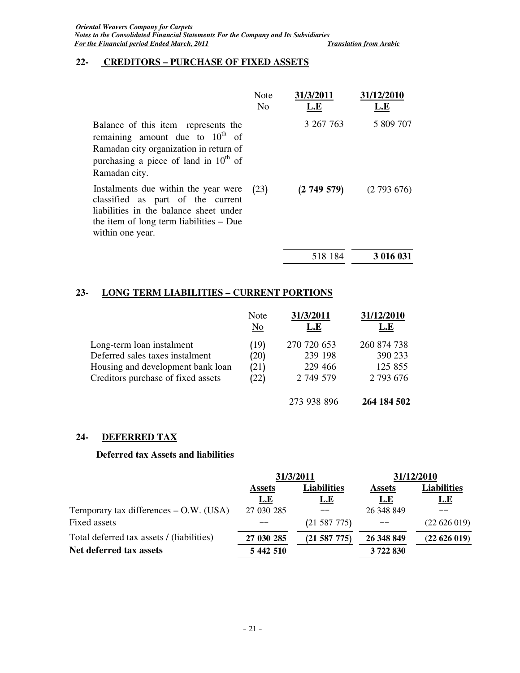# **22- CREDITORS – PURCHASE OF FIXED ASSETS**

|                                                                                                                                                                                      | Note<br>No | 31/3/2011<br>L.E | 31/12/2010<br>L.E |
|--------------------------------------------------------------------------------------------------------------------------------------------------------------------------------------|------------|------------------|-------------------|
| Balance of this item represents the<br>remaining amount due to $10^{th}$ of<br>Ramadan city organization in return of<br>purchasing a piece of land in $10^{th}$ of<br>Ramadan city. |            | 3 267 763        | 5 809 707         |
| Instalments due within the year were<br>classified as part of the current<br>liabilities in the balance sheet under<br>the item of long term liabilities $-$ Due<br>within one year. | (23)       | (2749579)        | (2793676)         |
|                                                                                                                                                                                      |            | 518 184          | 3 016 031         |

# **23- LONG TERM LIABILITIES – CURRENT PORTIONS**

|                                    | Note<br>$\overline{\text{No}}$ | 31/3/2011<br>L.E | 31/12/2010<br>L.E |
|------------------------------------|--------------------------------|------------------|-------------------|
| Long-term loan instalment          | (19)                           | 270 720 653      | 260 874 738       |
| Deferred sales taxes instalment    | (20)                           | 239 198          | 390 233           |
| Housing and development bank loan  | (21)                           | 229 466          | 125 855           |
| Creditors purchase of fixed assets | (22)                           | 2 749 579        | 2 793 676         |
|                                    |                                | 273 938 896      | 264 184 502       |

# **24- DEFERRED TAX**

# **Deferred tax Assets and liabilities**

|                                           |                                     | 31/3/2011        | 31/12/2010    |                    |  |
|-------------------------------------------|-------------------------------------|------------------|---------------|--------------------|--|
|                                           | <b>Liabilities</b><br><b>Assets</b> |                  | <b>Assets</b> | <b>Liabilities</b> |  |
|                                           | <u>L.E</u>                          | <u>L.E</u>       | <u>L.E</u>    | <u>L.E</u>         |  |
| Temporary tax differences $-$ O.W. (USA)  | 27 030 285                          |                  | 26 348 849    |                    |  |
| Fixed assets                              |                                     | $(21\ 587\ 775)$ |               | (22626019)         |  |
| Total deferred tax assets / (liabilities) | 27 030 285                          | (21 587 775)     | 26 348 849    | (22626019)         |  |
| Net deferred tax assets                   | 5 442 510                           |                  | 3722830       |                    |  |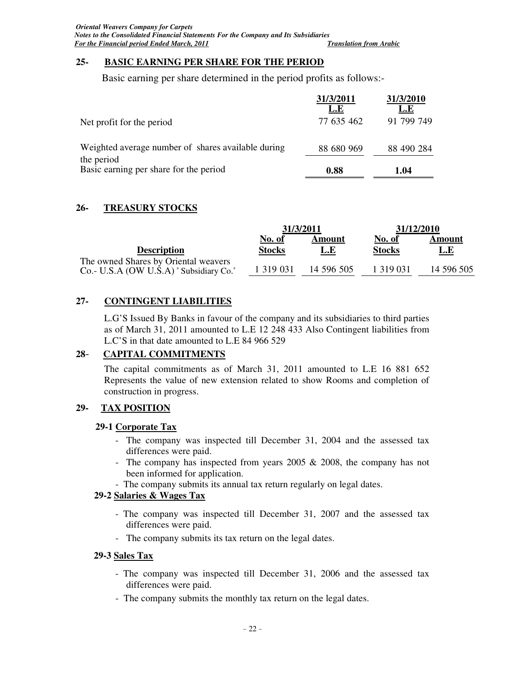# **25- BASIC EARNING PER SHARE FOR THE PERIOD**

Basic earning per share determined in the period profits as follows:-

|                                                                  | 31/3/2011<br>L.E | 31/3/2010<br>L.E |
|------------------------------------------------------------------|------------------|------------------|
| Net profit for the period                                        | 77 635 462       | 91 799 749       |
| Weighted average number of shares available during<br>the period | 88 680 969       | 88 490 284       |
| Basic earning per share for the period                           | 0.88             | 1.04             |

# **26- TREASURY STOCKS**

|                                                                                     | 31/3/2011     |            | 31/12/2010    |            |
|-------------------------------------------------------------------------------------|---------------|------------|---------------|------------|
|                                                                                     | <b>No. of</b> | Amount     | <b>No. of</b> | Amount     |
| <b>Description</b>                                                                  | <b>Stocks</b> | L.E        | <b>Stocks</b> | <u>L.E</u> |
| The owned Shares by Oriental weavers<br>$Co.- U.S.A$ (OW U.S.A) "Subsidiary $Co.$ " | 1 3 1 9 0 3 1 | 14 596 505 | 1 319 031     | 14 596 505 |

# **27- CONTINGENT LIABILITIES**

L.G'S Issued By Banks in favour of the company and its subsidiaries to third parties as of March 31, 2011 amounted to L.E 12 248 433 Also Contingent liabilities from L.C'S in that date amounted to L.E 84 966 529

# **28**- **CAPITAL COMMITMENTS**

The capital commitments as of March 31, 2011 amounted to L.E 16 881 652 Represents the value of new extension related to show Rooms and completion of construction in progress.

# **29- TAX POSITION**

# **29-1 Corporate Tax**

- The company was inspected till December 31, 2004 and the assessed tax differences were paid.
- The company has inspected from years 2005 & 2008, the company has not been informed for application.
- The company submits its annual tax return regularly on legal dates.

# **29-2 Salaries & Wages Tax**

- The company was inspected till December 31, 2007 and the assessed tax differences were paid.
- The company submits its tax return on the legal dates.

# **29-3 Sales Tax**

- The company was inspected till December 31, 2006 and the assessed tax differences were paid.
- The company submits the monthly tax return on the legal dates.